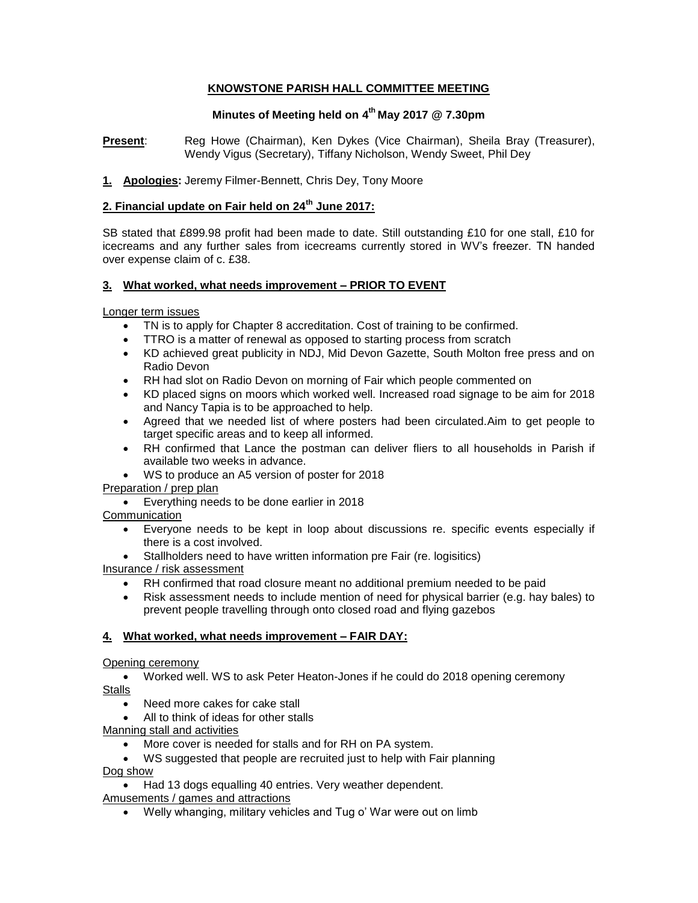# **KNOWSTONE PARISH HALL COMMITTEE MEETING**

# **Minutes of Meeting held on 4 th May 2017 @ 7.30pm**

**Present**: Reg Howe (Chairman), Ken Dykes (Vice Chairman), Sheila Bray (Treasurer), Wendy Vigus (Secretary), Tiffany Nicholson, Wendy Sweet, Phil Dey

### **1. Apologies:** Jeremy Filmer-Bennett, Chris Dey, Tony Moore

# **2. Financial update on Fair held on 24th June 2017:**

SB stated that £899.98 profit had been made to date. Still outstanding £10 for one stall, £10 for icecreams and any further sales from icecreams currently stored in WV's freezer. TN handed over expense claim of c. £38.

# **3. What worked, what needs improvement – PRIOR TO EVENT**

Longer term issues

- TN is to apply for Chapter 8 accreditation. Cost of training to be confirmed.
- TTRO is a matter of renewal as opposed to starting process from scratch
- KD achieved great publicity in NDJ, Mid Devon Gazette, South Molton free press and on Radio Devon
- RH had slot on Radio Devon on morning of Fair which people commented on
- KD placed signs on moors which worked well. Increased road signage to be aim for 2018 and Nancy Tapia is to be approached to help.
- Agreed that we needed list of where posters had been circulated.Aim to get people to target specific areas and to keep all informed.
- RH confirmed that Lance the postman can deliver fliers to all households in Parish if available two weeks in advance.
- WS to produce an A5 version of poster for 2018

# Preparation / prep plan

Everything needs to be done earlier in 2018

# **Communication**

- Everyone needs to be kept in loop about discussions re. specific events especially if there is a cost involved.
- Stallholders need to have written information pre Fair (re. logisitics)

Insurance / risk assessment

- RH confirmed that road closure meant no additional premium needed to be paid
- Risk assessment needs to include mention of need for physical barrier (e.g. hay bales) to prevent people travelling through onto closed road and flying gazebos

# **4. What worked, what needs improvement – FAIR DAY:**

### Opening ceremony

 Worked well. WS to ask Peter Heaton-Jones if he could do 2018 opening ceremony Stalls

- Need more cakes for cake stall
- All to think of ideas for other stalls

Manning stall and activities

- More cover is needed for stalls and for RH on PA system.
- WS suggested that people are recruited just to help with Fair planning

Dog show

- Had 13 dogs equalling 40 entries. Very weather dependent. Amusements / games and attractions
	- Welly whanging, military vehicles and Tug o' War were out on limb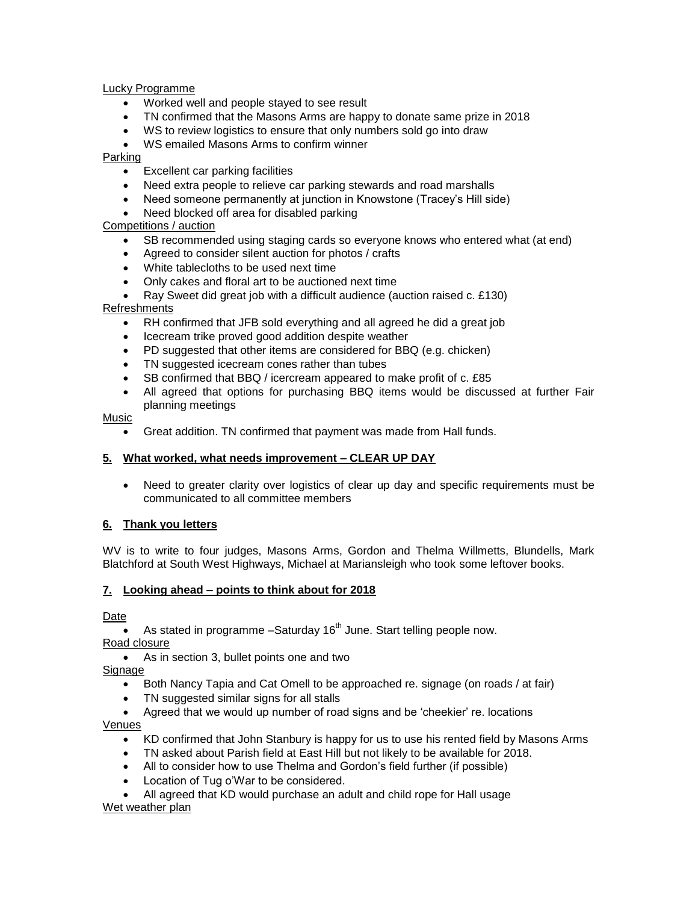Lucky Programme

- Worked well and people stayed to see result
- TN confirmed that the Masons Arms are happy to donate same prize in 2018
- WS to review logistics to ensure that only numbers sold go into draw
- WS emailed Masons Arms to confirm winner

Parking

- Excellent car parking facilities
- Need extra people to relieve car parking stewards and road marshalls
- Need someone permanently at junction in Knowstone (Tracey's Hill side)
- Need blocked off area for disabled parking

Competitions / auction

- SB recommended using staging cards so everyone knows who entered what (at end)
- Agreed to consider silent auction for photos / crafts
- White tablecloths to be used next time
- Only cakes and floral art to be auctioned next time
- Ray Sweet did great job with a difficult audience (auction raised c. £130)

Refreshments

- RH confirmed that JFB sold everything and all agreed he did a great job
- Icecream trike proved good addition despite weather
- PD suggested that other items are considered for BBQ (e.g. chicken)
- TN suggested icecream cones rather than tubes
- SB confirmed that BBQ / icercream appeared to make profit of c. £85
- All agreed that options for purchasing BBQ items would be discussed at further Fair planning meetings

Music

Great addition. TN confirmed that payment was made from Hall funds.

### **5. What worked, what needs improvement – CLEAR UP DAY**

• Need to greater clarity over logistics of clear up day and specific requirements must be communicated to all committee members

# **6. Thank you letters**

WV is to write to four judges, Masons Arms, Gordon and Thelma Willmetts, Blundells, Mark Blatchford at South West Highways, Michael at Mariansleigh who took some leftover books.

# **7. Looking ahead – points to think about for 2018**

Date

As stated in programme  $-$ Saturday 16<sup>th</sup> June. Start telling people now.

Road closure

As in section 3, bullet points one and two

Signage

- Both Nancy Tapia and Cat Omell to be approached re. signage (on roads / at fair)
- TN suggested similar signs for all stalls
- Agreed that we would up number of road signs and be 'cheekier' re. locations

Venues

- KD confirmed that John Stanbury is happy for us to use his rented field by Masons Arms
- TN asked about Parish field at East Hill but not likely to be available for 2018.
- All to consider how to use Thelma and Gordon's field further (if possible)
- Location of Tug o'War to be considered.

 All agreed that KD would purchase an adult and child rope for Hall usage Wet weather plan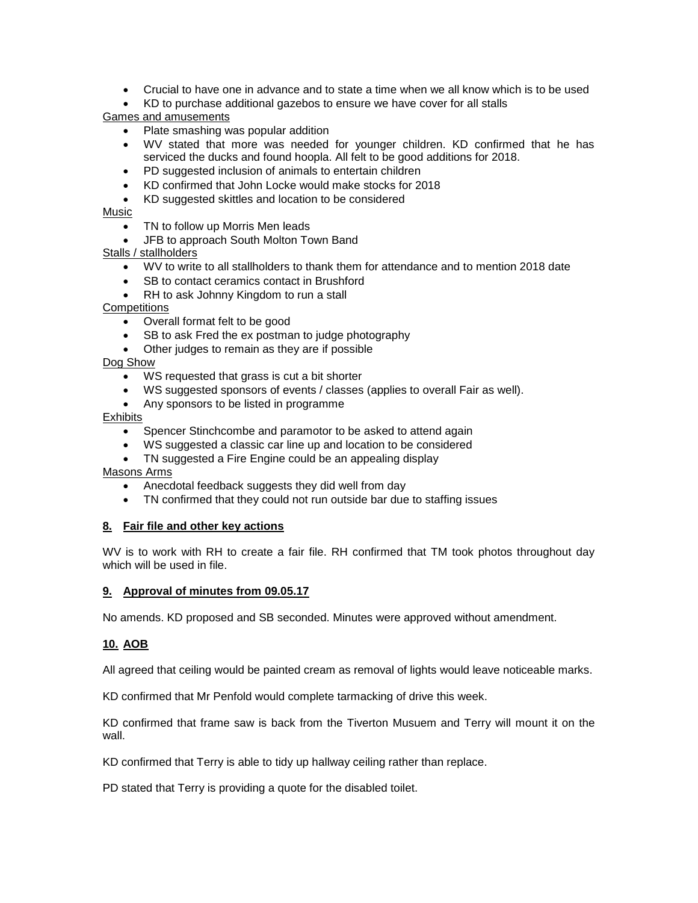- Crucial to have one in advance and to state a time when we all know which is to be used
- KD to purchase additional gazebos to ensure we have cover for all stalls

Games and amusements

- Plate smashing was popular addition
- WV stated that more was needed for younger children. KD confirmed that he has serviced the ducks and found hoopla. All felt to be good additions for 2018.
- PD suggested inclusion of animals to entertain children
- KD confirmed that John Locke would make stocks for 2018
- KD suggested skittles and location to be considered

# Music

• TN to follow up Morris Men leads

**JFB to approach South Molton Town Band** 

- Stalls / stallholders
	- WV to write to all stallholders to thank them for attendance and to mention 2018 date
	- SB to contact ceramics contact in Brushford
	- RH to ask Johnny Kingdom to run a stall

**Competitions** 

- Overall format felt to be good
- SB to ask Fred the ex postman to judge photography
- Other judges to remain as they are if possible

Dog Show

- WS requested that grass is cut a bit shorter
- WS suggested sponsors of events / classes (applies to overall Fair as well).
- Any sponsors to be listed in programme

Exhibits

- Spencer Stinchcombe and paramotor to be asked to attend again
- WS suggested a classic car line up and location to be considered
- TN suggested a Fire Engine could be an appealing display

### Masons Arms

- Anecdotal feedback suggests they did well from day
- TN confirmed that they could not run outside bar due to staffing issues

### **8. Fair file and other key actions**

WV is to work with RH to create a fair file. RH confirmed that TM took photos throughout day which will be used in file.

### **9. Approval of minutes from 09.05.17**

No amends. KD proposed and SB seconded. Minutes were approved without amendment.

# **10. AOB**

All agreed that ceiling would be painted cream as removal of lights would leave noticeable marks.

KD confirmed that Mr Penfold would complete tarmacking of drive this week.

KD confirmed that frame saw is back from the Tiverton Musuem and Terry will mount it on the wall.

KD confirmed that Terry is able to tidy up hallway ceiling rather than replace.

PD stated that Terry is providing a quote for the disabled toilet.